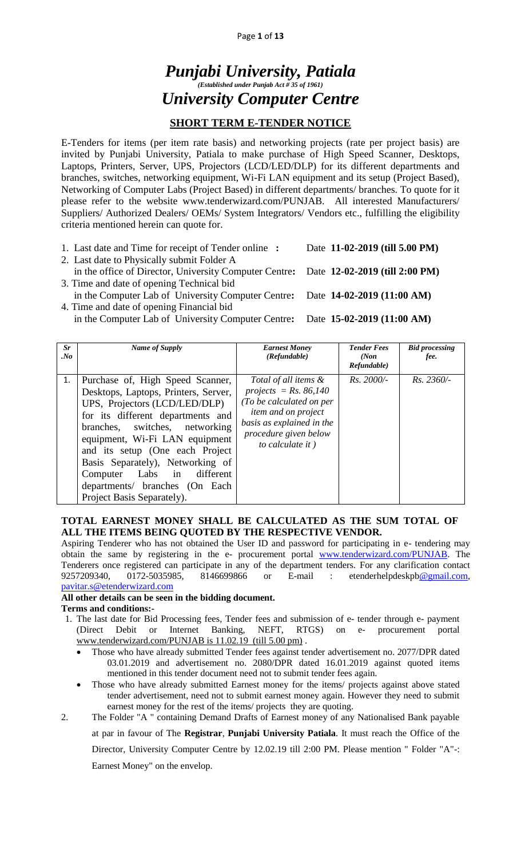#### Page **1** of **13**

# *Punjabi University, Patiala (Established under Punjab Act # 35 of 1961) University Computer Centre*

## **SHORT TERM E-TENDER NOTICE**

E-Tenders for items (per item rate basis) and networking projects (rate per project basis) are invited by Punjabi University, Patiala to make purchase of High Speed Scanner, Desktops, Laptops, Printers, Server, UPS, Projectors (LCD/LED/DLP) for its different departments and branches, switches, networking equipment, Wi-Fi LAN equipment and its setup (Project Based), Networking of Computer Labs (Project Based) in different departments/ branches. To quote for it please refer to the website www.tenderwizard.com/PUNJAB. All interested Manufacturers/ Suppliers/ Authorized Dealers/ OEMs/ System Integrators/ Vendors etc., fulfilling the eligibility criteria mentioned herein can quote for.

- 1. Last date and Time for receipt of Tender online **:** Date **11-02-2019 (till 5.00 PM)**
- 2. Last date to Physically submit Folder A
- in the office of Director, University Computer Centre**:** Date **12-02-2019 (till 2:00 PM)** 3. Time and date of opening Technical bid
- in the Computer Lab of University Computer Centre**:** Date **14-02-2019 (11:00 AM)** 4. Time and date of opening Financial bid
	- in the Computer Lab of University Computer Centre**:** Date **15-02-2019 (11:00 AM)**

| Sr<br>$N_{0}$ | Name of Supply                                                                                                                                                                                                                                                                                                                                                                                | <b>Earnest Money</b><br>(Refundable)                                                                                                                                                | <b>Tender Fees</b><br>(Non<br>Refundable) | <b>Bid processing</b><br>fee. |
|---------------|-----------------------------------------------------------------------------------------------------------------------------------------------------------------------------------------------------------------------------------------------------------------------------------------------------------------------------------------------------------------------------------------------|-------------------------------------------------------------------------------------------------------------------------------------------------------------------------------------|-------------------------------------------|-------------------------------|
| 1.            | Purchase of, High Speed Scanner,<br>Desktops, Laptops, Printers, Server,<br>UPS, Projectors (LCD/LED/DLP)<br>for its different departments and<br>branches, switches, networking<br>equipment, Wi-Fi LAN equipment<br>and its setup (One each Project<br>Basis Separately), Networking of<br>Labs in<br>different<br>Computer<br>departments/ branches (On Each<br>Project Basis Separately). | Total of all items &<br>projects = $Rs. 86,140$<br>(To be calculated on per<br><i>item and on project</i><br>basis as explained in the<br>procedure given below<br>to calculate it) | $Rs.~2000/-$                              | $Rs. 2360/-$                  |

#### **TOTAL EARNEST MONEY SHALL BE CALCULATED AS THE SUM TOTAL OF ALL THE ITEMS BEING QUOTED BY THE RESPECTIVE VENDOR.**

Aspiring Tenderer who has not obtained the User ID and password for participating in e- tendering may obtain the same by registering in the e- procurement portal [www.tenderwizard.com/PUNJAB.](http://www.tenderwizard.com/PUNJAB) The Tenderers once registered can participate in any of the department tenders. For any clarification contact 9257209340, 0172-5035985, 8146699866 or E-mail : etenderhelpdeskp[b@gmail.com,](mailto:@gmail.com) [pavitar.s@etenderwizard.com](mailto:pavitar.s@etenderwizard.com)

#### **All other details can be seen in the bidding document.**

#### **Terms and conditions:-**

- 1. The last date for Bid Processing fees, Tender fees and submission of e- tender through e- payment (Direct Debit or Internet Banking, NEFT, RTGS) on e- procurement portal [www.tenderwizard.com/PUNJAB is 11.02.19](http://www.tenderwizard.com/PUNJAB%20is%2011.02.19) (till 5.00 pm) .
	- Those who have already submitted Tender fees against tender advertisement no. 2077/DPR dated 03.01.2019 and advertisement no. 2080/DPR dated 16.01.2019 against quoted items mentioned in this tender document need not to submit tender fees again.
	- Those who have already submitted Earnest money for the items/ projects against above stated tender advertisement, need not to submit earnest money again. However they need to submit earnest money for the rest of the items/ projects they are quoting.
- 2. The Folder "A " containing Demand Drafts of Earnest money of any Nationalised Bank payable at par in favour of The **Registrar**, **Punjabi University Patiala**. It must reach the Office of the Director, University Computer Centre by 12.02.19 till 2:00 PM. Please mention " Folder "A"-: Earnest Money" on the envelop.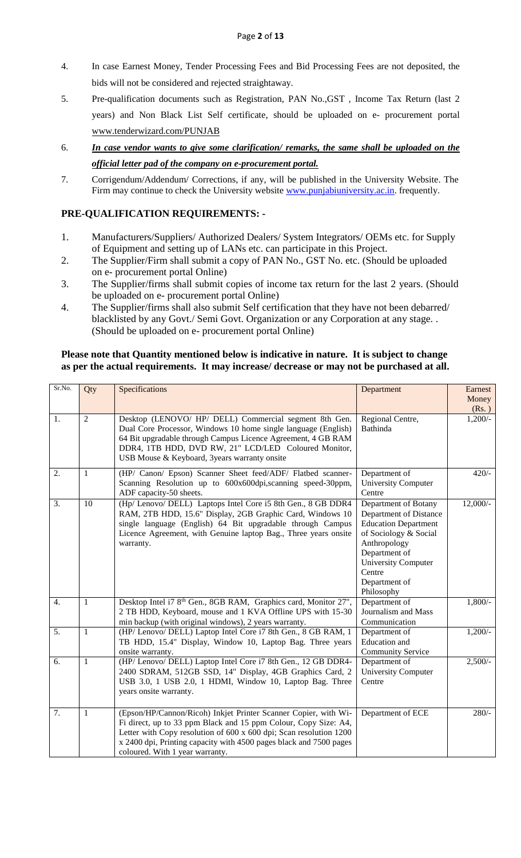- 4. In case Earnest Money, Tender Processing Fees and Bid Processing Fees are not deposited, the bids will not be considered and rejected straightaway.
- 5. Pre-qualification documents such as Registration, PAN No.,GST , Income Tax Return (last 2 years) and Non Black List Self certificate, should be uploaded on e- procurement portal [www.tenderwizard.com/PUNJAB](http://www.tenderwizard.com/PUNJAB)
- 6. *In case vendor wants to give some clarification/ remarks, the same shall be uploaded on the official letter pad of the company on e-procurement portal.*
- 7. Corrigendum/Addendum/ Corrections, if any, will be published in the University Website. The Firm may continue to check the University website **www.punjabiuniversity.ac.in**. frequently.

## **PRE-QUALIFICATION REQUIREMENTS: -**

- 1. Manufacturers/Suppliers/ Authorized Dealers/ System Integrators/ OEMs etc. for Supply of Equipment and setting up of LANs etc. can participate in this Project.
- 2. The Supplier/Firm shall submit a copy of PAN No., GST No. etc. (Should be uploaded on e- procurement portal Online)
- 3. The Supplier/firms shall submit copies of income tax return for the last 2 years. (Should be uploaded on e- procurement portal Online)
- 4. The Supplier/firms shall also submit Self certification that they have not been debarred/ blacklisted by any Govt./ Semi Govt. Organization or any Corporation at any stage. . (Should be uploaded on e- procurement portal Online)

#### **Please note that Quantity mentioned below is indicative in nature. It is subject to change as per the actual requirements. It may increase/ decrease or may not be purchased at all.**

| Sr.No. | Qty            | Specifications                                                                                                                                                                                                                                                                                                    | Department                                                                                                                                                                                                     | Earnest<br>Money<br>(Rs.) |
|--------|----------------|-------------------------------------------------------------------------------------------------------------------------------------------------------------------------------------------------------------------------------------------------------------------------------------------------------------------|----------------------------------------------------------------------------------------------------------------------------------------------------------------------------------------------------------------|---------------------------|
| 1.     | $\overline{2}$ | Desktop (LENOVO/ HP/ DELL) Commercial segment 8th Gen.<br>Dual Core Processor, Windows 10 home single language (English)<br>64 Bit upgradable through Campus Licence Agreement, 4 GB RAM<br>DDR4, 1TB HDD, DVD RW, 21" LCD/LED Coloured Monitor,<br>USB Mouse & Keyboard, 3years warranty onsite                  | Regional Centre,<br><b>Bathinda</b>                                                                                                                                                                            | $1,200/-$                 |
| 2.     | $\mathbf{1}$   | (HP/ Canon/ Epson) Scanner Sheet feed/ADF/ Flatbed scanner-<br>Scanning Resolution up to 600x600dpi,scanning speed-30ppm,<br>ADF capacity-50 sheets.                                                                                                                                                              | Department of<br><b>University Computer</b><br>Centre                                                                                                                                                          | $420/-$                   |
| 3.     | 10             | (Hp/ Lenovo/ DELL) Laptops Intel Core i5 8th Gen., 8 GB DDR4<br>RAM, 2TB HDD, 15.6" Display, 2GB Graphic Card, Windows 10<br>single language (English) 64 Bit upgradable through Campus<br>Licence Agreement, with Genuine laptop Bag., Three years onsite<br>warranty.                                           | Department of Botany<br>Department of Distance<br><b>Education Department</b><br>of Sociology & Social<br>Anthropology<br>Department of<br><b>University Computer</b><br>Centre<br>Department of<br>Philosophy | $12,000/-$                |
| 4.     | $\mathbf{1}$   | Desktop Intel i7 8 <sup>th</sup> Gen., 8GB RAM, Graphics card, Monitor 27",<br>2 TB HDD, Keyboard, mouse and 1 KVA Offline UPS with 15-30<br>min backup (with original windows), 2 years warranty.                                                                                                                | Department of<br>Journalism and Mass<br>Communication                                                                                                                                                          | $1,800/-$                 |
| 5.     | $\mathbf{1}$   | (HP/ Lenovo/ DELL) Laptop Intel Core i7 8th Gen., 8 GB RAM, 1<br>TB HDD, 15.4" Display, Window 10, Laptop Bag. Three years<br>onsite warranty.                                                                                                                                                                    | Department of<br>Education and<br><b>Community Service</b>                                                                                                                                                     | $1,200/-$                 |
| 6.     | $\mathbf{1}$   | (HP/Lenovo/DELL) Laptop Intel Core i7 8th Gen., 12 GB DDR4-<br>2400 SDRAM, 512GB SSD, 14" Display, 4GB Graphics Card, 2<br>USB 3.0, 1 USB 2.0, 1 HDMI, Window 10, Laptop Bag. Three<br>years onsite warranty.                                                                                                     | Department of<br><b>University Computer</b><br>Centre                                                                                                                                                          | $2,500/-$                 |
| 7.     | 1              | (Epson/HP/Cannon/Ricoh) Inkjet Printer Scanner Copier, with Wi-<br>Fi direct, up to 33 ppm Black and 15 ppm Colour, Copy Size: A4,<br>Letter with Copy resolution of 600 x 600 dpi; Scan resolution 1200<br>x 2400 dpi, Printing capacity with 4500 pages black and 7500 pages<br>coloured. With 1 year warranty. | Department of ECE                                                                                                                                                                                              | $280/-$                   |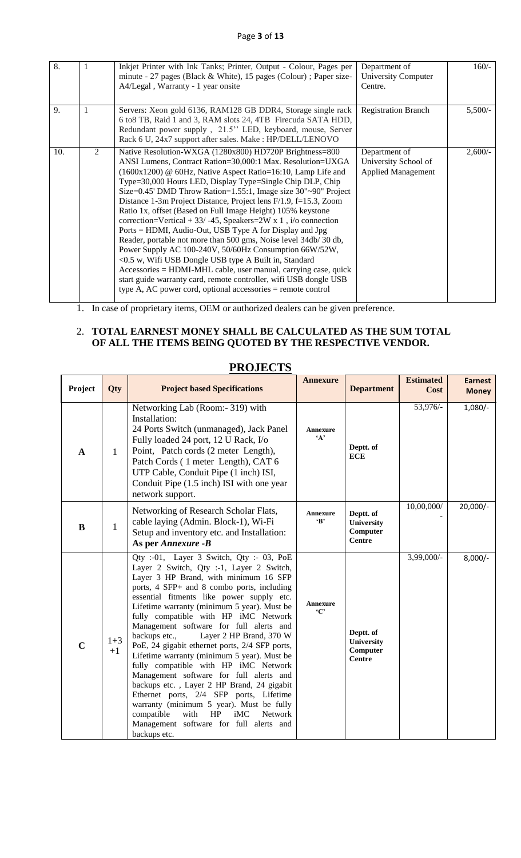| $\overline{8}$ . |   | Inkjet Printer with Ink Tanks; Printer, Output - Colour, Pages per<br>minute - 27 pages (Black & White), 15 pages (Colour); Paper size-<br>A4/Legal, Warranty - 1 year onsite                                                                                                                                                                                                                                                                                                                                                                                                                                                                                                                                                                                                                                                                                                                                                                                                                    | Department of<br><b>University Computer</b><br>Centre.             | $160/-$   |
|------------------|---|--------------------------------------------------------------------------------------------------------------------------------------------------------------------------------------------------------------------------------------------------------------------------------------------------------------------------------------------------------------------------------------------------------------------------------------------------------------------------------------------------------------------------------------------------------------------------------------------------------------------------------------------------------------------------------------------------------------------------------------------------------------------------------------------------------------------------------------------------------------------------------------------------------------------------------------------------------------------------------------------------|--------------------------------------------------------------------|-----------|
| 9.               | 1 | Servers: Xeon gold 6136, RAM128 GB DDR4, Storage single rack<br>6 to 8 TB, Raid 1 and 3, RAM slots 24, 4TB Firecuda SATA HDD,<br>Redundant power supply, 21.5" LED, keyboard, mouse, Server<br>Rack 6 U, 24x7 support after sales. Make : HP/DELL/LENOVO                                                                                                                                                                                                                                                                                                                                                                                                                                                                                                                                                                                                                                                                                                                                         | <b>Registration Branch</b>                                         | $5,500/-$ |
| 10.              | 2 | Native Resolution-WXGA (1280x800) HD720P Brightness=800<br>ANSI Lumens, Contract Ration=30,000:1 Max. Resolution=UXGA<br>$(1600x1200)$ @ 60Hz, Native Aspect Ratio=16:10, Lamp Life and<br>Type=30,000 Hours LED, Display Type=Single Chip DLP, Chip<br>Size= $0.45$ ' DMD Throw Ration= $1.55$ :1, Image size $30"~90"$ Project<br>Distance 1-3m Project Distance, Project lens F/1.9, f=15.3, Zoom<br>Ratio 1x, offset (Based on Full Image Height) 105% keystone<br>correction=Vertical + 33/ -45, Speakers=2W x 1, i/o connection<br>Ports = HDMI, Audio-Out, USB Type A for Display and Jpg<br>Reader, portable not more than 500 gms, Noise level 34db/30 db,<br>Power Supply AC 100-240V, 50/60Hz Consumption 66W/52W,<br><0.5 w, Wifi USB Dongle USB type A Built in, Standard<br>Accessories = HDMI-MHL cable, user manual, carrying case, quick<br>start guide warranty card, remote controller, wifi USB dongle USB<br>type A, AC power cord, optional accessories $=$ remote control | Department of<br>University School of<br><b>Applied Management</b> | $2,600/-$ |

1. In case of proprietary items, OEM or authorized dealers can be given preference.

#### 2. **TOTAL EARNEST MONEY SHALL BE CALCULATED AS THE SUM TOTAL OF ALL THE ITEMS BEING QUOTED BY THE RESPECTIVE VENDOR.**

| Project      | Qty             | <b>Project based Specifications</b>                                                                                                                                                                                                                                                                                                                                                                                                                                                                                                                                                                                                                                                                                                                                                                                                             | <b>Annexure</b>                 | <b>Department</b>                                           | <b>Estimated</b><br>Cost | <b>Earnest</b><br><b>Money</b> |
|--------------|-----------------|-------------------------------------------------------------------------------------------------------------------------------------------------------------------------------------------------------------------------------------------------------------------------------------------------------------------------------------------------------------------------------------------------------------------------------------------------------------------------------------------------------------------------------------------------------------------------------------------------------------------------------------------------------------------------------------------------------------------------------------------------------------------------------------------------------------------------------------------------|---------------------------------|-------------------------------------------------------------|--------------------------|--------------------------------|
| $\mathbf{A}$ | $\mathbf{1}$    | Networking Lab (Room:- 319) with<br>Installation:<br>24 Ports Switch (unmanaged), Jack Panel<br>Fully loaded 24 port, 12 U Rack, I/o<br>Point, Patch cords (2 meter Length),<br>Patch Cords (1 meter Length), CAT 6<br>UTP Cable, Conduit Pipe (1 inch) ISI,<br>Conduit Pipe (1.5 inch) ISI with one year<br>network support.                                                                                                                                                                                                                                                                                                                                                                                                                                                                                                                   | <b>Annexure</b><br>$\mathbf{A}$ | Deptt. of<br><b>ECE</b>                                     | 53,976/-                 | $1,080/-$                      |
| $\bf{B}$     | 1               | Networking of Research Scholar Flats,<br>cable laying (Admin. Block-1), Wi-Fi<br>Setup and inventory etc. and Installation:<br>As per Annexure -B                                                                                                                                                                                                                                                                                                                                                                                                                                                                                                                                                                                                                                                                                               | <b>Annexure</b><br>$\cdot$ B'   | Deptt. of<br><b>University</b><br>Computer<br><b>Centre</b> | 10,00,000/               | $20,000/-$                     |
| $\mathbf C$  | $1 + 3$<br>$+1$ | Qty :-01, Layer 3 Switch, Qty :- 03, PoE<br>Layer 2 Switch, Qty :-1, Layer 2 Switch,<br>Layer 3 HP Brand, with minimum 16 SFP<br>ports, 4 SFP+ and 8 combo ports, including<br>essential fitments like power supply etc.<br>Lifetime warranty (minimum 5 year). Must be<br>fully compatible with HP iMC Network<br>Management software for full alerts and<br>Layer 2 HP Brand, 370 W<br>backups etc.,<br>PoE, 24 gigabit ethernet ports, 2/4 SFP ports,<br>Lifetime warranty (minimum 5 year). Must be<br>fully compatible with HP iMC Network<br>Management software for full alerts and<br>backups etc., Layer 2 HP Brand, 24 gigabit<br>Ethernet ports, 2/4 SFP ports, Lifetime<br>warranty (minimum 5 year). Must be fully<br>compatible<br>with<br>HP<br>iMC<br><b>Network</b><br>Management software for full alerts and<br>backups etc. | Annexure<br>$\cdot$ C'          | Deptt. of<br>University<br>Computer<br>Centre               | 3,99,000/-               | $8,000/-$                      |

## **PROJECTS**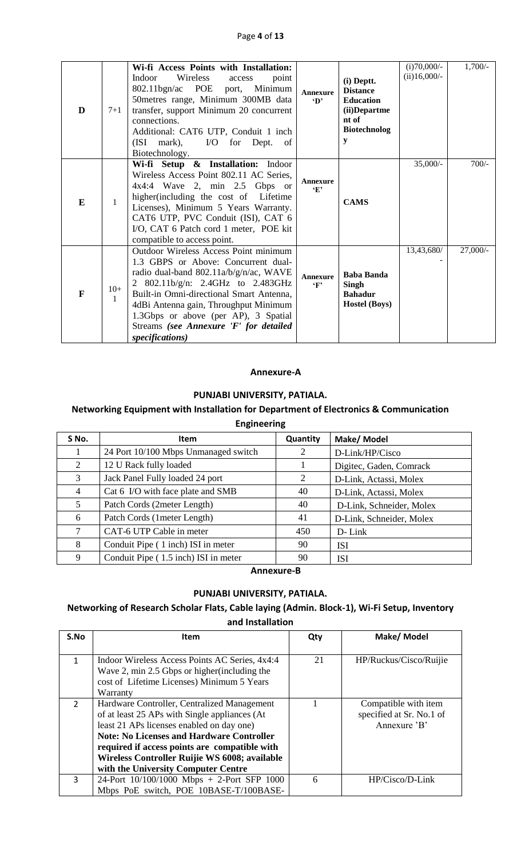| D            | $7 + 1$               | Wi-fi Access Points with Installation:<br>Wireless<br><b>Indoor</b><br>point<br>access<br>802.11bgn/ac POE port, Minimum<br>50metres range, Minimum 300MB data<br>transfer, support Minimum 20 concurrent<br>connections.<br>Additional: CAT6 UTP, Conduit 1 inch<br>(ISI mark), I/O for Dept. of<br>Biotechnology.                                   | <b>Annexure</b><br>$\mathbf{D}$ | (i) Deptt.<br><b>Distance</b><br><b>Education</b><br>(ii)Departme<br>nt of<br><b>Biotechnolog</b><br>у | $(i)70,000/-$<br>$(ii)16,000/-$ | $1,700/-$  |
|--------------|-----------------------|-------------------------------------------------------------------------------------------------------------------------------------------------------------------------------------------------------------------------------------------------------------------------------------------------------------------------------------------------------|---------------------------------|--------------------------------------------------------------------------------------------------------|---------------------------------|------------|
| E            | $\mathbf{1}$          | Wi-fi Setup & Installation: Indoor<br>Wireless Access Point 802.11 AC Series,<br>$4x4:4$ Wave 2, min 2.5 Gbps or<br>higher(including the cost of Lifetime<br>Licenses), Minimum 5 Years Warranty.<br>CAT6 UTP, PVC Conduit (ISI), CAT 6<br>I/O, CAT 6 Patch cord 1 meter, POE kit<br>compatible to access point.                                      | Annexure<br>$\cdot_F$           | <b>CAMS</b>                                                                                            | $35,000/-$                      | $700/-$    |
| $\mathbf{F}$ | $10+$<br>$\mathbf{1}$ | Outdoor Wireless Access Point minimum<br>1.3 GBPS or Above: Concurrent dual-<br>radio dual-band 802.11a/b/g/n/ac, WAVE<br>2 802.11b/g/n: 2.4GHz to 2.483GHz<br>Built-in Omni-directional Smart Antenna,<br>4dBi Antenna gain, Throughput Minimum<br>1.3Gbps or above (per AP), 3 Spatial<br>Streams (see Annexure 'F' for detailed<br>specifications) | Annexure<br>$\mathbf{F}$        | <b>Baba Banda</b><br>Singh<br><b>Bahadur</b><br><b>Hostel (Boys)</b>                                   | 13,43,680/                      | $27,000/-$ |

#### **Annexure-A**

#### **PUNJABI UNIVERSITY, PATIALA.**

#### **Networking Equipment with Installation for Department of Electronics & Communication**

#### **Engineering**

| S No.          | <b>Item</b>                          | Quantity | Make/ Model              |
|----------------|--------------------------------------|----------|--------------------------|
|                | 24 Port 10/100 Mbps Unmanaged switch | 2        | D-Link/HP/Cisco          |
| 2              | 12 U Rack fully loaded               |          | Digitec, Gaden, Comrack  |
| 3              | Jack Panel Fully loaded 24 port      | 2        | D-Link, Actassi, Molex   |
| $\overline{4}$ | Cat 6 I/O with face plate and SMB    | 40       | D-Link, Actassi, Molex   |
| 5              | Patch Cords (2meter Length)          | 40       | D-Link, Schneider, Molex |
| 6              | Patch Cords (1meter Length)          | 41       | D-Link, Schneider, Molex |
|                | CAT-6 UTP Cable in meter             | 450      | D-Link                   |
| 8              | Conduit Pipe (1 inch) ISI in meter   | 90       | <b>ISI</b>               |
| 9              | Conduit Pipe (1.5 inch) ISI in meter | 90       | <b>ISI</b>               |

**Annexure-B**

#### **PUNJABI UNIVERSITY, PATIALA.**

## **Networking of Research Scholar Flats, Cable laying (Admin. Block-1), Wi-Fi Setup, Inventory and Installation**

| S.No          | <b>Item</b>                                      | Qty | Make/ Model              |
|---------------|--------------------------------------------------|-----|--------------------------|
|               |                                                  |     |                          |
| $\mathbf{1}$  | Indoor Wireless Access Points AC Series, 4x4:4   | 21  | HP/Ruckus/Cisco/Ruijie   |
|               | Wave 2, min 2.5 Gbps or higher (including the    |     |                          |
|               | cost of Lifetime Licenses) Minimum 5 Years       |     |                          |
|               | Warranty                                         |     |                          |
| $\mathcal{P}$ | Hardware Controller, Centralized Management      |     | Compatible with item     |
|               | of at least 25 APs with Single appliances (At    |     | specified at Sr. No.1 of |
|               | least 21 APs licenses enabled on day one)        |     | Annexure 'B'             |
|               | <b>Note: No Licenses and Hardware Controller</b> |     |                          |
|               | required if access points are compatible with    |     |                          |
|               | Wireless Controller Ruijie WS 6008; available    |     |                          |
|               | with the University Computer Centre              |     |                          |
| 3             | 24-Port 10/100/1000 Mbps + 2-Port SFP 1000       | 6   | $HP/Cisco/D-Link$        |
|               | Mbps PoE switch, POE 10BASE-T/100BASE-           |     |                          |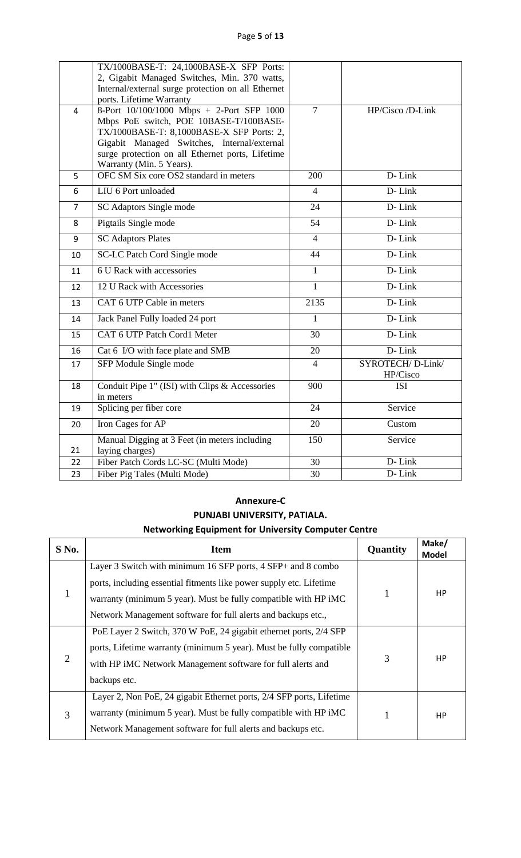| Page 5 of 13 |  |  |
|--------------|--|--|
|--------------|--|--|

|                | TX/1000BASE-T: 24,1000BASE-X SFP Ports:<br>2, Gigabit Managed Switches, Min. 370 watts,<br>Internal/external surge protection on all Ethernet<br>ports. Lifetime Warranty                                                                                       |                |                              |
|----------------|-----------------------------------------------------------------------------------------------------------------------------------------------------------------------------------------------------------------------------------------------------------------|----------------|------------------------------|
| 4              | 8-Port 10/100/1000 Mbps + 2-Port SFP 1000<br>Mbps PoE switch, POE 10BASE-T/100BASE-<br>TX/1000BASE-T: 8,1000BASE-X SFP Ports: 2,<br>Gigabit Managed Switches, Internal/external<br>surge protection on all Ethernet ports, Lifetime<br>Warranty (Min. 5 Years). | $\overline{7}$ | HP/Cisco /D-Link             |
| 5              | OFC SM Six core OS2 standard in meters                                                                                                                                                                                                                          | 200            | D-Link                       |
| 6              | LIU 6 Port unloaded                                                                                                                                                                                                                                             | 4              | D-Link                       |
| $\overline{7}$ | SC Adaptors Single mode                                                                                                                                                                                                                                         | 24             | D-Link                       |
| 8              | Pigtails Single mode                                                                                                                                                                                                                                            | 54             | D-Link                       |
| 9              | <b>SC Adaptors Plates</b>                                                                                                                                                                                                                                       | $\overline{4}$ | D-Link                       |
| 10             | <b>SC-LC</b> Patch Cord Single mode                                                                                                                                                                                                                             | 44             | D-Link                       |
| 11             | 6 U Rack with accessories                                                                                                                                                                                                                                       | $\mathbf{1}$   | D-Link                       |
| 12             | 12 U Rack with Accessories                                                                                                                                                                                                                                      | $\mathbf{1}$   | D-Link                       |
| 13             | CAT 6 UTP Cable in meters                                                                                                                                                                                                                                       | 2135           | D-Link                       |
| 14             | Jack Panel Fully loaded 24 port                                                                                                                                                                                                                                 | $\mathbf{1}$   | D-Link                       |
| 15             | CAT 6 UTP Patch Cord1 Meter                                                                                                                                                                                                                                     | 30             | D-Link                       |
| 16             | Cat 6 I/O with face plate and SMB                                                                                                                                                                                                                               | 20             | D-Link                       |
| 17             | SFP Module Single mode                                                                                                                                                                                                                                          | $\overline{4}$ | SYROTECH/D-Link/<br>HP/Cisco |
| 18             | Conduit Pipe 1" (ISI) with Clips & Accessories<br>in meters                                                                                                                                                                                                     | 900            | <b>ISI</b>                   |
| 19             | Splicing per fiber core                                                                                                                                                                                                                                         | 24             | Service                      |
| 20             | Iron Cages for AP                                                                                                                                                                                                                                               | 20             | Custom                       |
| 21             | Manual Digging at 3 Feet (in meters including<br>laying charges)                                                                                                                                                                                                | 150            | Service                      |
| 22             | Fiber Patch Cords LC-SC (Multi Mode)                                                                                                                                                                                                                            | 30             | D-Link                       |
| 23             | Fiber Pig Tales (Multi Mode)                                                                                                                                                                                                                                    | 30             | D-Link                       |

## **Annexure-C PUNJABI UNIVERSITY, PATIALA. Networking Equipment for University Computer Centre**

| $S$ No. | <b>Item</b>                                                          | Quantity | Make/<br><b>Model</b> |
|---------|----------------------------------------------------------------------|----------|-----------------------|
|         | Layer 3 Switch with minimum 16 SFP ports, 4 SFP+ and 8 combo         |          |                       |
|         | ports, including essential fitments like power supply etc. Lifetime  |          |                       |
| 1       | warranty (minimum 5 year). Must be fully compatible with HP iMC      | 1        | HP                    |
|         | Network Management software for full alerts and backups etc.,        |          |                       |
|         | PoE Layer 2 Switch, 370 W PoE, 24 gigabit ethernet ports, 2/4 SFP    |          |                       |
|         | ports, Lifetime warranty (minimum 5 year). Must be fully compatible  |          |                       |
| 2       | with HP iMC Network Management software for full alerts and          | 3        | HP                    |
|         | backups etc.                                                         |          |                       |
|         | Layer 2, Non PoE, 24 gigabit Ethernet ports, 2/4 SFP ports, Lifetime |          |                       |
| 3       | warranty (minimum 5 year). Must be fully compatible with HP iMC      | 1        | <b>HP</b>             |
|         | Network Management software for full alerts and backups etc.         |          |                       |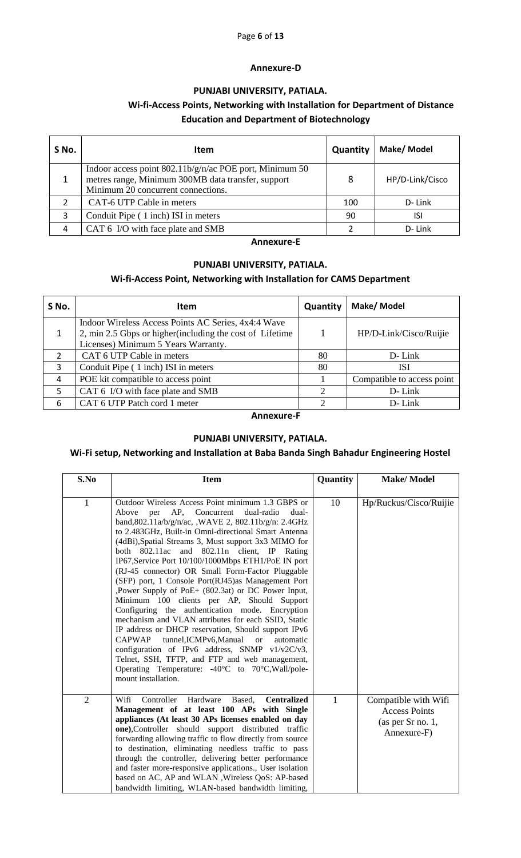#### Page **6** of **13**

#### **Annexure-D**

#### **PUNJABI UNIVERSITY, PATIALA.**

## **Wi-fi-Access Points, Networking with Installation for Department of Distance Education and Department of Biotechnology**

| S No. | Item                                                                                                                                                  | Quantity | Make/ Model     |
|-------|-------------------------------------------------------------------------------------------------------------------------------------------------------|----------|-----------------|
|       | Indoor access point $802.11b/g/n/ac$ POE port, Minimum 50<br>metres range, Minimum 300MB data transfer, support<br>Minimum 20 concurrent connections. | 8        | HP/D-Link/Cisco |
|       | CAT-6 UTP Cable in meters                                                                                                                             | 100      | D-Link          |
| 3     | Conduit Pipe (1 inch) ISI in meters                                                                                                                   | 90       | isi             |
| 4     | CAT 6 I/O with face plate and SMB                                                                                                                     |          | D-Link          |

#### **Annexure-E**

#### **PUNJABI UNIVERSITY, PATIALA.**

#### **Wi-fi-Access Point, Networking with Installation for CAMS Department**

| S No.         | Item                                                                                                                                                    | Quantity | Make/ Model                |
|---------------|---------------------------------------------------------------------------------------------------------------------------------------------------------|----------|----------------------------|
|               | Indoor Wireless Access Points AC Series, 4x4:4 Wave<br>2, min 2.5 Gbps or higher (including the cost of Lifetime<br>Licenses) Minimum 5 Years Warranty. |          | HP/D-Link/Cisco/Ruijie     |
| $\mathcal{P}$ | CAT 6 UTP Cable in meters                                                                                                                               | 80       | D-Link                     |
| 3             | Conduit Pipe (1 inch) ISI in meters                                                                                                                     | 80       | ISI                        |
| 4             | POE kit compatible to access point                                                                                                                      |          | Compatible to access point |
| 5             | CAT 6 I/O with face plate and SMB                                                                                                                       | 2        | $D$ - Link                 |
| 6             | CAT 6 UTP Patch cord 1 meter                                                                                                                            | 2        | D-Link                     |

#### **Annexure-F**

#### **PUNJABI UNIVERSITY, PATIALA.**

#### **Wi-Fi setup, Networking and Installation at Baba Banda Singh Bahadur Engineering Hostel**

| S.No           | <b>Item</b>                                                                                                                                                                                                                                                                                                                                                                                                                                                                                                                                                                                                                                                                                                                                                                                                                                                                                                                                                                                                     | Quantity     | <b>Make/Model</b>                                                                |
|----------------|-----------------------------------------------------------------------------------------------------------------------------------------------------------------------------------------------------------------------------------------------------------------------------------------------------------------------------------------------------------------------------------------------------------------------------------------------------------------------------------------------------------------------------------------------------------------------------------------------------------------------------------------------------------------------------------------------------------------------------------------------------------------------------------------------------------------------------------------------------------------------------------------------------------------------------------------------------------------------------------------------------------------|--------------|----------------------------------------------------------------------------------|
|                |                                                                                                                                                                                                                                                                                                                                                                                                                                                                                                                                                                                                                                                                                                                                                                                                                                                                                                                                                                                                                 |              |                                                                                  |
| $\mathbf{1}$   | Outdoor Wireless Access Point minimum 1.3 GBPS or<br>Above<br>AP, Concurrent<br>dual-radio<br>dual-<br>per<br>band, 802.11a/b/g/n/ac, , WAVE 2, 802.11b/g/n: 2.4GHz<br>to 2.483GHz, Built-in Omni-directional Smart Antenna<br>(4dBi), Spatial Streams 3, Must support 3x3 MIMO for<br>both $802.11ac$<br>and 802.11n client, IP Rating<br>IP67, Service Port 10/100/1000Mbps ETH1/PoE IN port<br>(RJ-45 connector) OR Small Form-Factor Pluggable<br>(SFP) port, 1 Console Port(RJ45)as Management Port<br>, Power Supply of PoE+ (802.3at) or DC Power Input,<br>Minimum 100 clients per AP, Should Support<br>Configuring the authentication mode. Encryption<br>mechanism and VLAN attributes for each SSID, Static<br>IP address or DHCP reservation, Should support IPv6<br>CAPWAP<br>tunnel,ICMPv6,Manual or<br>automatic<br>configuration of IPv6 address, SNMP v1/v2C/v3,<br>Telnet, SSH, TFTP, and FTP and web management,<br>Operating Temperature: -40°C to 70°C, Wall/pole-<br>mount installation. | 10           | Hp/Ruckus/Cisco/Ruijie                                                           |
| $\overline{2}$ | Wifi<br>Controller Hardware<br>Based,<br><b>Centralized</b><br>Management of at least 100 APs with Single<br>appliances (At least 30 APs licenses enabled on day<br>one), Controller should support distributed traffic<br>forwarding allowing traffic to flow directly from source<br>to destination, eliminating needless traffic to pass<br>through the controller, delivering better performance<br>and faster more-responsive applications., User isolation<br>based on AC, AP and WLAN , Wireless QoS: AP-based<br>bandwidth limiting, WLAN-based bandwidth limiting,                                                                                                                                                                                                                                                                                                                                                                                                                                     | $\mathbf{1}$ | Compatible with Wifi<br><b>Access Points</b><br>(as per Sr no. 1,<br>Annexure-F) |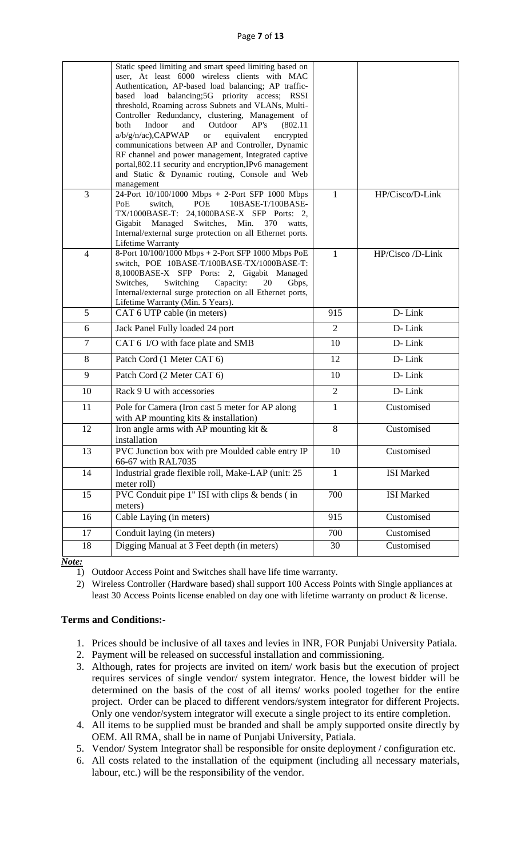#### Page **7** of **13**

|                | Static speed limiting and smart speed limiting based on<br>user, At least 6000 wireless clients with MAC<br>Authentication, AP-based load balancing; AP traffic-<br>based load balancing;5G priority access; RSSI<br>threshold, Roaming across Subnets and VLANs, Multi-<br>Controller Redundancy, clustering, Management of<br>Indoor<br>Outdoor<br>AP's<br>both<br>and<br>(802.11)<br>$a/b/g/n/ac)$ , CAPWAP<br><b>or</b><br>equivalent<br>encrypted<br>communications between AP and Controller, Dynamic<br>RF channel and power management, Integrated captive<br>portal, 802.11 security and encryption, IPv6 management<br>and Static & Dynamic routing, Console and Web<br>management |                |                          |
|----------------|----------------------------------------------------------------------------------------------------------------------------------------------------------------------------------------------------------------------------------------------------------------------------------------------------------------------------------------------------------------------------------------------------------------------------------------------------------------------------------------------------------------------------------------------------------------------------------------------------------------------------------------------------------------------------------------------|----------------|--------------------------|
| 3              | 24-Port 10/100/1000 Mbps + 2-Port SFP 1000 Mbps<br>PoE<br>switch,<br>POE<br>10BASE-T/100BASE-<br>TX/1000BASE-T: 24,1000BASE-X SFP Ports: 2,<br>Gigabit<br>Managed<br>Switches,<br>Min.<br>370<br>watts,<br>Internal/external surge protection on all Ethernet ports.<br>Lifetime Warranty                                                                                                                                                                                                                                                                                                                                                                                                    | $\mathbf{1}$   | HP/Cisco/D-Link          |
| $\overline{4}$ | 8-Port 10/100/1000 Mbps + 2-Port SFP 1000 Mbps PoE<br>switch, POE 10BASE-T/100BASE-TX/1000BASE-T:<br>8,1000BASE-X SFP Ports: 2, Gigabit Managed<br>Capacity:<br>Switches,<br>Switching<br>20<br>Gbps,<br>Internal/external surge protection on all Ethernet ports,<br>Lifetime Warranty (Min. 5 Years).                                                                                                                                                                                                                                                                                                                                                                                      | $\mathbf{1}$   | HP/Cisco /D-Link         |
| 5              | CAT 6 UTP cable (in meters)                                                                                                                                                                                                                                                                                                                                                                                                                                                                                                                                                                                                                                                                  | 915            | D-Link                   |
| 6              | Jack Panel Fully loaded 24 port                                                                                                                                                                                                                                                                                                                                                                                                                                                                                                                                                                                                                                                              | $\overline{2}$ | D-Link                   |
| $\overline{7}$ | CAT 6 I/O with face plate and SMB                                                                                                                                                                                                                                                                                                                                                                                                                                                                                                                                                                                                                                                            | 10             | D-Link                   |
| 8              | Patch Cord (1 Meter CAT 6)                                                                                                                                                                                                                                                                                                                                                                                                                                                                                                                                                                                                                                                                   | 12             | D-Link                   |
| 9              | Patch Cord (2 Meter CAT 6)                                                                                                                                                                                                                                                                                                                                                                                                                                                                                                                                                                                                                                                                   | 10             | D-Link                   |
| 10             | Rack 9 U with accessories                                                                                                                                                                                                                                                                                                                                                                                                                                                                                                                                                                                                                                                                    | $\overline{2}$ | D-Link                   |
| 11             | Pole for Camera (Iron cast 5 meter for AP along<br>with AP mounting kits $&$ installation)                                                                                                                                                                                                                                                                                                                                                                                                                                                                                                                                                                                                   | $\mathbf{1}$   | Customised               |
| 12             | Iron angle arms with AP mounting kit $\&$<br>installation                                                                                                                                                                                                                                                                                                                                                                                                                                                                                                                                                                                                                                    | $8\,$          | Customised               |
| 13             | PVC Junction box with pre Moulded cable entry IP<br>66-67 with RAL7035                                                                                                                                                                                                                                                                                                                                                                                                                                                                                                                                                                                                                       | 10             | Customised               |
| 14             | Industrial grade flexible roll, Make-LAP (unit: 25<br>meter roll)                                                                                                                                                                                                                                                                                                                                                                                                                                                                                                                                                                                                                            | $\mathbf{1}$   | <b>ISI</b> Marked        |
| 15             | PVC Conduit pipe 1" ISI with clips & bends (in<br>meters)                                                                                                                                                                                                                                                                                                                                                                                                                                                                                                                                                                                                                                    | 700            | <b>ISI</b> Marked        |
| 16             | Cable Laying (in meters)                                                                                                                                                                                                                                                                                                                                                                                                                                                                                                                                                                                                                                                                     | 915            | Customised               |
| 17             |                                                                                                                                                                                                                                                                                                                                                                                                                                                                                                                                                                                                                                                                                              |                |                          |
|                | Conduit laying (in meters)<br>Digging Manual at 3 Feet depth (in meters)                                                                                                                                                                                                                                                                                                                                                                                                                                                                                                                                                                                                                     | 700<br>30      | Customised<br>Customised |

*Note:*

- 1) Outdoor Access Point and Switches shall have life time warranty.
- 2) Wireless Controller (Hardware based) shall support 100 Access Points with Single appliances at least 30 Access Points license enabled on day one with lifetime warranty on product & license.

#### **Terms and Conditions:-**

- 1. Prices should be inclusive of all taxes and levies in INR, FOR Punjabi University Patiala.
- 2. Payment will be released on successful installation and commissioning.
- 3. Although, rates for projects are invited on item/ work basis but the execution of project requires services of single vendor/ system integrator. Hence, the lowest bidder will be determined on the basis of the cost of all items/ works pooled together for the entire project. Order can be placed to different vendors/system integrator for different Projects. Only one vendor/system integrator will execute a single project to its entire completion.
- 4. All items to be supplied must be branded and shall be amply supported onsite directly by OEM. All RMA, shall be in name of Punjabi University, Patiala.
- 5. Vendor/ System Integrator shall be responsible for onsite deployment / configuration etc.
- 6. All costs related to the installation of the equipment (including all necessary materials, labour, etc.) will be the responsibility of the vendor.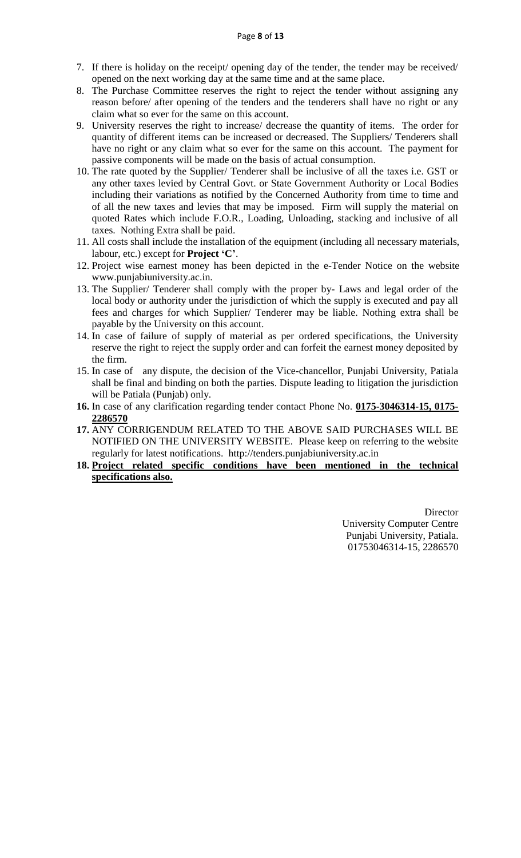- 7. If there is holiday on the receipt/ opening day of the tender, the tender may be received/ opened on the next working day at the same time and at the same place.
- 8. The Purchase Committee reserves the right to reject the tender without assigning any reason before/ after opening of the tenders and the tenderers shall have no right or any claim what so ever for the same on this account.
- 9. University reserves the right to increase/ decrease the quantity of items. The order for quantity of different items can be increased or decreased. The Suppliers/ Tenderers shall have no right or any claim what so ever for the same on this account. The payment for passive components will be made on the basis of actual consumption.
- 10. The rate quoted by the Supplier/ Tenderer shall be inclusive of all the taxes i.e. GST or any other taxes levied by Central Govt. or State Government Authority or Local Bodies including their variations as notified by the Concerned Authority from time to time and of all the new taxes and levies that may be imposed. Firm will supply the material on quoted Rates which include F.O.R., Loading, Unloading, stacking and inclusive of all taxes. Nothing Extra shall be paid.
- 11. All costs shall include the installation of the equipment (including all necessary materials, labour, etc.) except for **Project 'C'**.
- 12. Project wise earnest money has been depicted in the e-Tender Notice on the website www.punjabiuniversity.ac.in.
- 13. The Supplier/ Tenderer shall comply with the proper by- Laws and legal order of the local body or authority under the jurisdiction of which the supply is executed and pay all fees and charges for which Supplier/ Tenderer may be liable. Nothing extra shall be payable by the University on this account.
- 14. In case of failure of supply of material as per ordered specifications, the University reserve the right to reject the supply order and can forfeit the earnest money deposited by the firm.
- 15. In case of any dispute, the decision of the Vice-chancellor, Punjabi University, Patiala shall be final and binding on both the parties. Dispute leading to litigation the jurisdiction will be Patiala (Punjab) only.
- **16.** In case of any clarification regarding tender contact Phone No. **0175-3046314-15, 0175- 2286570**
- **17.** ANY CORRIGENDUM RELATED TO THE ABOVE SAID PURCHASES WILL BE NOTIFIED ON THE UNIVERSITY WEBSITE. Please keep on referring to the website regularly for latest notifications. http://tenders.punjabiuniversity.ac.in
- **18. Project related specific conditions have been mentioned in the technical specifications also.**

**Director** University Computer Centre Punjabi University, Patiala. 01753046314-15, 2286570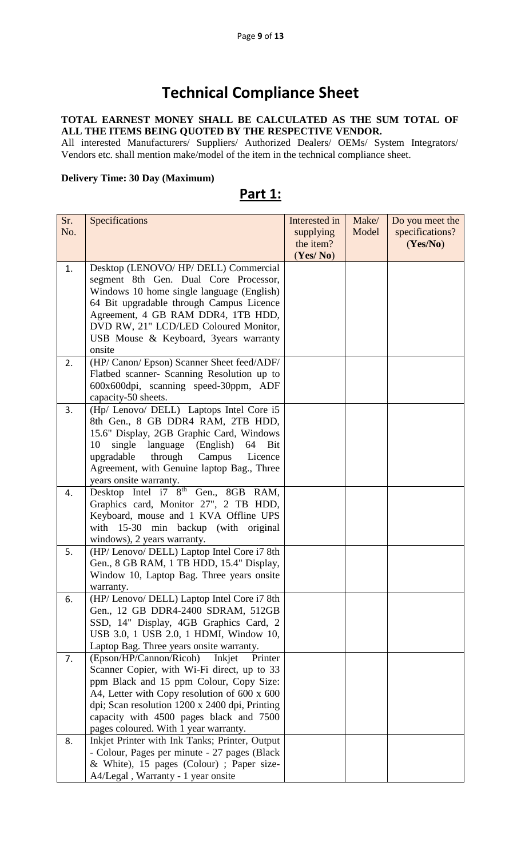# **Technical Compliance Sheet**

#### **TOTAL EARNEST MONEY SHALL BE CALCULATED AS THE SUM TOTAL OF ALL THE ITEMS BEING QUOTED BY THE RESPECTIVE VENDOR.**

All interested Manufacturers/ Suppliers/ Authorized Dealers/ OEMs/ System Integrators/ Vendors etc. shall mention make/model of the item in the technical compliance sheet.

#### **Delivery Time: 30 Day (Maximum)**

**Part 1:** 

| Sr. | Specifications                                                                   | Interested in | Make/ | Do you meet the |
|-----|----------------------------------------------------------------------------------|---------------|-------|-----------------|
| No. |                                                                                  | supplying     | Model | specifications? |
|     |                                                                                  | the item?     |       | (Yes/No)        |
|     |                                                                                  | (Yes/No)      |       |                 |
| 1.  | Desktop (LENOVO/HP/DELL) Commercial                                              |               |       |                 |
|     | segment 8th Gen. Dual Core Processor,                                            |               |       |                 |
|     | Windows 10 home single language (English)                                        |               |       |                 |
|     | 64 Bit upgradable through Campus Licence                                         |               |       |                 |
|     | Agreement, 4 GB RAM DDR4, 1TB HDD,                                               |               |       |                 |
|     | DVD RW, 21" LCD/LED Coloured Monitor,                                            |               |       |                 |
|     | USB Mouse & Keyboard, 3years warranty                                            |               |       |                 |
|     | onsite                                                                           |               |       |                 |
| 2.  | (HP/ Canon/ Epson) Scanner Sheet feed/ADF/                                       |               |       |                 |
|     | Flatbed scanner- Scanning Resolution up to                                       |               |       |                 |
|     | 600x600dpi, scanning speed-30ppm, ADF                                            |               |       |                 |
|     | capacity-50 sheets.                                                              |               |       |                 |
| 3.  | (Hp/ Lenovo/ DELL) Laptops Intel Core i5                                         |               |       |                 |
|     | 8th Gen., 8 GB DDR4 RAM, 2TB HDD,                                                |               |       |                 |
|     | 15.6" Display, 2GB Graphic Card, Windows                                         |               |       |                 |
|     | single<br>language (English)<br>10<br>64<br>Bit                                  |               |       |                 |
|     | upgradable<br>through Campus<br>Licence                                          |               |       |                 |
|     | Agreement, with Genuine laptop Bag., Three                                       |               |       |                 |
|     | years onsite warranty.                                                           |               |       |                 |
| 4.  | Desktop Intel i7 8 <sup>th</sup> Gen., 8GB RAM,                                  |               |       |                 |
|     | Graphics card, Monitor 27", 2 TB HDD,                                            |               |       |                 |
|     | Keyboard, mouse and 1 KVA Offline UPS                                            |               |       |                 |
|     | with 15-30 min backup (with original                                             |               |       |                 |
|     | windows), 2 years warranty.                                                      |               |       |                 |
| 5.  | (HP/ Lenovo/ DELL) Laptop Intel Core i7 8th                                      |               |       |                 |
|     | Gen., 8 GB RAM, 1 TB HDD, 15.4" Display,                                         |               |       |                 |
|     | Window 10, Laptop Bag. Three years onsite                                        |               |       |                 |
|     | warranty.                                                                        |               |       |                 |
| 6.  | (HP/ Lenovo/ DELL) Laptop Intel Core i7 8th                                      |               |       |                 |
|     | Gen., 12 GB DDR4-2400 SDRAM, 512GB                                               |               |       |                 |
|     | SSD, 14" Display, 4GB Graphics Card, 2<br>USB 3.0, 1 USB 2.0, 1 HDMI, Window 10, |               |       |                 |
|     | Laptop Bag. Three years onsite warranty.                                         |               |       |                 |
| 7.  | (Epson/HP/Cannon/Ricoh)<br>Inkjet<br>Printer                                     |               |       |                 |
|     | Scanner Copier, with Wi-Fi direct, up to 33                                      |               |       |                 |
|     | ppm Black and 15 ppm Colour, Copy Size:                                          |               |       |                 |
|     | A4, Letter with Copy resolution of 600 x 600                                     |               |       |                 |
|     | dpi; Scan resolution 1200 x 2400 dpi, Printing                                   |               |       |                 |
|     | capacity with 4500 pages black and 7500                                          |               |       |                 |
|     | pages coloured. With 1 year warranty.                                            |               |       |                 |
| 8.  | Inkjet Printer with Ink Tanks; Printer, Output                                   |               |       |                 |
|     | - Colour, Pages per minute - 27 pages (Black)                                    |               |       |                 |
|     | & White), 15 pages (Colour) ; Paper size-                                        |               |       |                 |
|     | A4/Legal, Warranty - 1 year onsite                                               |               |       |                 |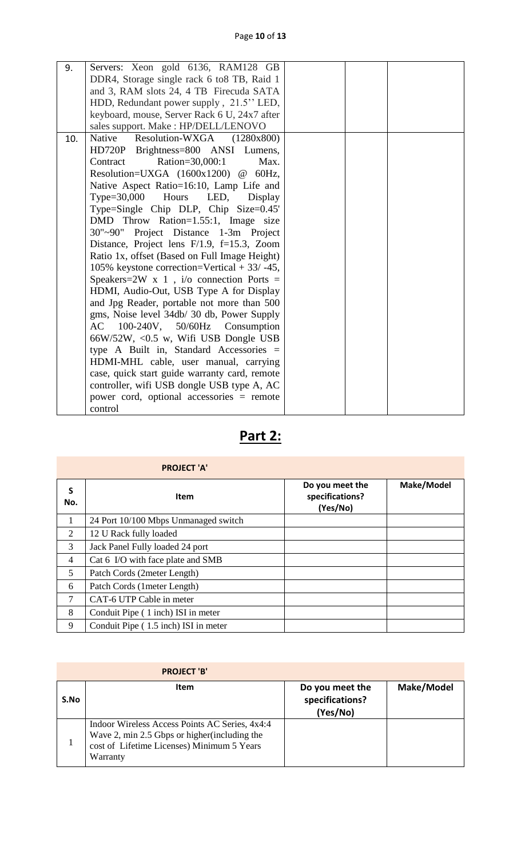| 9.  | Servers: Xeon gold 6136, RAM128 GB               |  |  |
|-----|--------------------------------------------------|--|--|
|     | DDR4, Storage single rack 6 to 8TB, Raid 1       |  |  |
|     | and 3, RAM slots 24, 4 TB Firecuda SATA          |  |  |
|     | HDD, Redundant power supply, 21.5" LED,          |  |  |
|     | keyboard, mouse, Server Rack 6 U, 24x7 after     |  |  |
|     | sales support. Make: HP/DELL/LENOVO              |  |  |
| 10. | Native<br>Resolution-WXGA<br>(1280x800)          |  |  |
|     | HD720P Brightness=800 ANSI Lumens,               |  |  |
|     | Contract<br>Ration=30,000:1<br>Max.              |  |  |
|     | Resolution=UXGA $(1600x1200)$ @ 60Hz,            |  |  |
|     | Native Aspect Ratio=16:10, Lamp Life and         |  |  |
|     | $Type=30,000$ Hours<br>LED,<br>Display           |  |  |
|     | Type=Single Chip DLP, Chip Size=0.45'            |  |  |
|     | DMD Throw Ration=1.55:1, Image size              |  |  |
|     | 30"~90" Project Distance 1-3m Project            |  |  |
|     | Distance, Project lens $F/1.9$ , $f=15.3$ , Zoom |  |  |
|     | Ratio 1x, offset (Based on Full Image Height)    |  |  |
|     | 105% keystone correction=Vertical $+$ 33/ -45,   |  |  |
|     | Speakers=2W x 1, $i$ /o connection Ports =       |  |  |
|     | HDMI, Audio-Out, USB Type A for Display          |  |  |
|     | and Jpg Reader, portable not more than 500       |  |  |
|     | gms, Noise level 34db/ 30 db, Power Supply       |  |  |
|     | 100-240V, 50/60Hz Consumption<br>AC              |  |  |
|     | $66W/52W$ , < $0.5$ w, Wifi USB Dongle USB       |  |  |
|     | type A Built in, Standard Accessories =          |  |  |
|     | HDMI-MHL cable, user manual, carrying            |  |  |
|     | case, quick start guide warranty card, remote    |  |  |
|     | controller, wifi USB dongle USB type A, AC       |  |  |
|     | power cord, optional accessories = remote        |  |  |
|     | control                                          |  |  |

| . . | ۰ |
|-----|---|
|     |   |

|          | <b>PROJECT 'A'</b>                   |                                                |            |
|----------|--------------------------------------|------------------------------------------------|------------|
| S<br>No. | <b>Item</b>                          | Do you meet the<br>specifications?<br>(Yes/No) | Make/Model |
| 1        | 24 Port 10/100 Mbps Unmanaged switch |                                                |            |
| 2        | 12 U Rack fully loaded               |                                                |            |
| 3        | Jack Panel Fully loaded 24 port      |                                                |            |
| 4        | Cat 6 I/O with face plate and SMB    |                                                |            |
| 5        | Patch Cords (2meter Length)          |                                                |            |
| 6        | Patch Cords (1 meter Length)         |                                                |            |
| 7        | CAT-6 UTP Cable in meter             |                                                |            |
| 8        | Conduit Pipe (1 inch) ISI in meter   |                                                |            |
| 9        | Conduit Pipe (1.5 inch) ISI in meter |                                                |            |

|      | <b>PROJECT 'B'</b>                                                                                                                                        |                                                |            |
|------|-----------------------------------------------------------------------------------------------------------------------------------------------------------|------------------------------------------------|------------|
| S.No | Item                                                                                                                                                      | Do you meet the<br>specifications?<br>(Yes/No) | Make/Model |
|      | Indoor Wireless Access Points AC Series, 4x4:4<br>Wave 2, min 2.5 Gbps or higher (including the<br>cost of Lifetime Licenses) Minimum 5 Years<br>Warranty |                                                |            |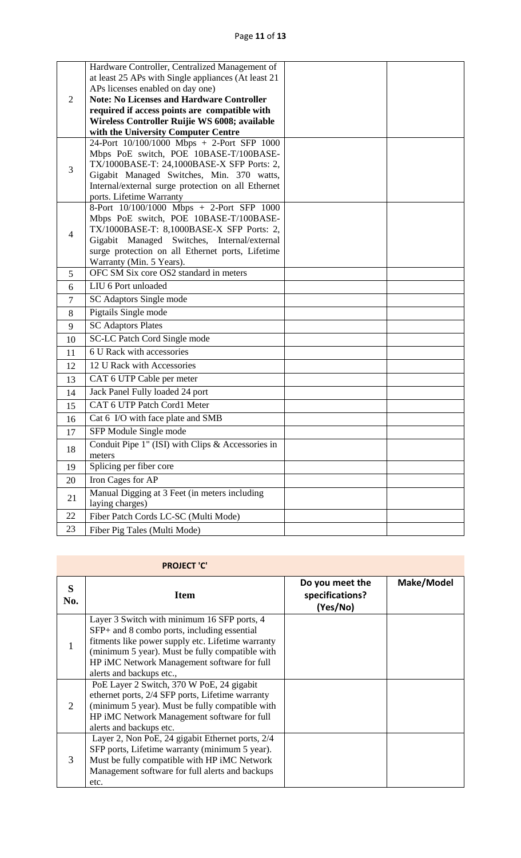|                | Hardware Controller, Centralized Management of                        |  |
|----------------|-----------------------------------------------------------------------|--|
|                | at least 25 APs with Single appliances (At least 21                   |  |
|                | APs licenses enabled on day one)                                      |  |
| 2              | <b>Note: No Licenses and Hardware Controller</b>                      |  |
|                | required if access points are compatible with                         |  |
|                | Wireless Controller Ruijie WS 6008; available                         |  |
|                | with the University Computer Centre                                   |  |
|                | 24-Port 10/100/1000 Mbps + 2-Port SFP 1000                            |  |
|                | Mbps PoE switch, POE 10BASE-T/100BASE-                                |  |
| 3              | TX/1000BASE-T: 24,1000BASE-X SFP Ports: 2,                            |  |
|                | Gigabit Managed Switches, Min. 370 watts,                             |  |
|                | Internal/external surge protection on all Ethernet                    |  |
|                | ports. Lifetime Warranty<br>8-Port 10/100/1000 Mbps + 2-Port SFP 1000 |  |
|                | Mbps PoE switch, POE 10BASE-T/100BASE-                                |  |
|                | TX/1000BASE-T: 8,1000BASE-X SFP Ports: 2,                             |  |
| $\overline{4}$ | Gigabit Managed Switches, Internal/external                           |  |
|                | surge protection on all Ethernet ports, Lifetime                      |  |
|                | Warranty (Min. 5 Years).                                              |  |
| 5              | OFC SM Six core OS2 standard in meters                                |  |
| 6              | LIU 6 Port unloaded                                                   |  |
| 7              | SC Adaptors Single mode                                               |  |
| 8              | Pigtails Single mode                                                  |  |
| 9              | <b>SC Adaptors Plates</b>                                             |  |
| 10             | <b>SC-LC Patch Cord Single mode</b>                                   |  |
| 11             | 6 U Rack with accessories                                             |  |
| 12             | 12 U Rack with Accessories                                            |  |
| 13             | CAT 6 UTP Cable per meter                                             |  |
| 14             | Jack Panel Fully loaded 24 port                                       |  |
| 15             | CAT 6 UTP Patch Cord1 Meter                                           |  |
| 16             | Cat 6 I/O with face plate and SMB                                     |  |
| 17             | SFP Module Single mode                                                |  |
| 18             | Conduit Pipe $1$ " (ISI) with Clips $\&$ Accessories in               |  |
|                | meters                                                                |  |
| 19             | Splicing per fiber core                                               |  |
| 20             | Iron Cages for AP                                                     |  |
| 21             | Manual Digging at 3 Feet (in meters including<br>laying charges)      |  |
| 22             | Fiber Patch Cords LC-SC (Multi Mode)                                  |  |
| 23             | Fiber Pig Tales (Multi Mode)                                          |  |

|          | <b>PROJECT 'C'</b>                                                                                                                                                                                                                                                            |                                                |            |
|----------|-------------------------------------------------------------------------------------------------------------------------------------------------------------------------------------------------------------------------------------------------------------------------------|------------------------------------------------|------------|
| S<br>No. | <b>Item</b>                                                                                                                                                                                                                                                                   | Do you meet the<br>specifications?<br>(Yes/No) | Make/Model |
| 1        | Layer 3 Switch with minimum 16 SFP ports, 4<br>SFP+ and 8 combo ports, including essential<br>fitments like power supply etc. Lifetime warranty<br>(minimum 5 year). Must be fully compatible with<br>HP iMC Network Management software for full<br>alerts and backups etc., |                                                |            |
| 2        | PoE Layer 2 Switch, 370 W PoE, 24 gigabit<br>ethernet ports, 2/4 SFP ports, Lifetime warranty<br>(minimum 5 year). Must be fully compatible with<br>HP iMC Network Management software for full<br>alerts and backups etc.                                                    |                                                |            |
| 3        | Layer 2, Non PoE, 24 gigabit Ethernet ports, 2/4<br>SFP ports, Lifetime warranty (minimum 5 year).<br>Must be fully compatible with HP iMC Network<br>Management software for full alerts and backups<br>etc.                                                                 |                                                |            |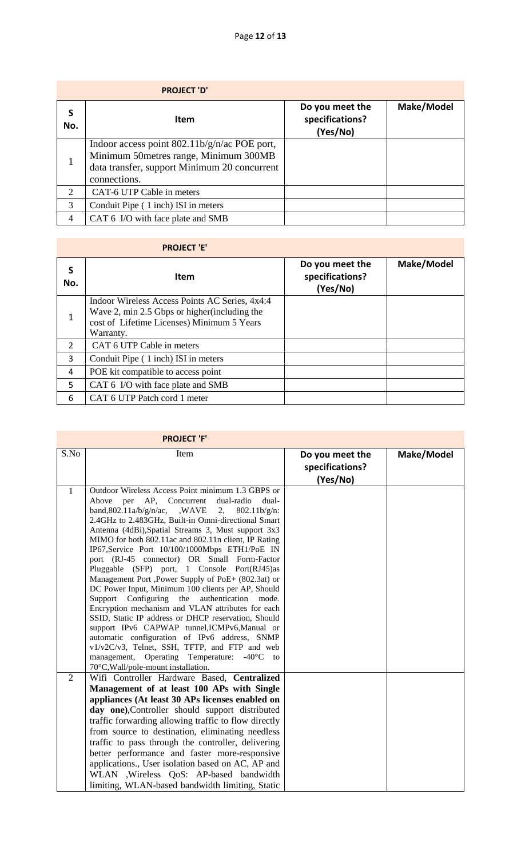|                             | <b>PROJECT 'D'</b>                                                                                                                                      |                                                |            |
|-----------------------------|---------------------------------------------------------------------------------------------------------------------------------------------------------|------------------------------------------------|------------|
| S<br>No.                    | <b>Item</b>                                                                                                                                             | Do you meet the<br>specifications?<br>(Yes/No) | Make/Model |
|                             | Indoor access point $802.11b/g/n/ac$ POE port,<br>Minimum 50metres range, Minimum 300MB<br>data transfer, support Minimum 20 concurrent<br>connections. |                                                |            |
| $\mathcal{D}_{\mathcal{L}}$ | CAT-6 UTP Cable in meters                                                                                                                               |                                                |            |
| 3                           | Conduit Pipe (1 inch) ISI in meters                                                                                                                     |                                                |            |
| $\overline{4}$              | CAT 6 I/O with face plate and SMB                                                                                                                       |                                                |            |

## **PROJECT 'E'**

| S<br>No.      | Item                                                                                                                                                       | Do you meet the<br>specifications?<br>(Yes/No) | Make/Model |
|---------------|------------------------------------------------------------------------------------------------------------------------------------------------------------|------------------------------------------------|------------|
| 1             | Indoor Wireless Access Points AC Series, 4x4:4<br>Wave 2, min 2.5 Gbps or higher (including the<br>cost of Lifetime Licenses) Minimum 5 Years<br>Warranty. |                                                |            |
| $\mathcal{L}$ | CAT 6 UTP Cable in meters                                                                                                                                  |                                                |            |
| 3             | Conduit Pipe (1 inch) ISI in meters                                                                                                                        |                                                |            |
| 4             | POE kit compatible to access point                                                                                                                         |                                                |            |
| 5             | CAT 6 I/O with face plate and SMB                                                                                                                          |                                                |            |
| 6             | CAT 6 UTP Patch cord 1 meter                                                                                                                               |                                                |            |

|              | <b>PROJECT 'F'</b>                                                                                              |                 |            |
|--------------|-----------------------------------------------------------------------------------------------------------------|-----------------|------------|
| S.No         | Item                                                                                                            | Do you meet the | Make/Model |
|              |                                                                                                                 | specifications? |            |
|              |                                                                                                                 | (Yes/No)        |            |
| $\mathbf{1}$ | Outdoor Wireless Access Point minimum 1.3 GBPS or                                                               |                 |            |
|              | AP,<br>Concurrent<br>dual-radio<br>dual-<br>Above<br>per                                                        |                 |            |
|              | band, $802.11a/b/g/n/ac$ , WAVE<br>2,<br>$802.11b/g/n$ :<br>2.4GHz to 2.483GHz, Built-in Omni-directional Smart |                 |            |
|              | Antenna (4dBi), Spatial Streams 3, Must support 3x3                                                             |                 |            |
|              | MIMO for both 802.11ac and 802.11n client, IP Rating                                                            |                 |            |
|              | IP67, Service Port 10/100/1000Mbps ETH1/PoE IN                                                                  |                 |            |
|              | port (RJ-45 connector) OR Small Form-Factor                                                                     |                 |            |
|              | Pluggable (SFP) port, 1 Console Port(RJ45)as                                                                    |                 |            |
|              | Management Port ,Power Supply of PoE+ (802.3at) or                                                              |                 |            |
|              | DC Power Input, Minimum 100 clients per AP, Should<br>Support Configuring<br>the<br>authentication<br>mode.     |                 |            |
|              | Encryption mechanism and VLAN attributes for each                                                               |                 |            |
|              | SSID, Static IP address or DHCP reservation, Should                                                             |                 |            |
|              | support IPv6 CAPWAP tunnel, ICMPv6, Manual or                                                                   |                 |            |
|              | automatic configuration of IPv6 address, SNMP                                                                   |                 |            |
|              | v1/v2C/v3, Telnet, SSH, TFTP, and FTP and web                                                                   |                 |            |
|              | management, Operating Temperature:<br>$-40^{\circ}$ C to                                                        |                 |            |
| 2            | 70°C, Wall/pole-mount installation.<br>Wifi Controller Hardware Based, Centralized                              |                 |            |
|              | Management of at least 100 APs with Single                                                                      |                 |            |
|              | appliances (At least 30 APs licenses enabled on                                                                 |                 |            |
|              | day one), Controller should support distributed                                                                 |                 |            |
|              | traffic forwarding allowing traffic to flow directly                                                            |                 |            |
|              | from source to destination, eliminating needless                                                                |                 |            |
|              | traffic to pass through the controller, delivering                                                              |                 |            |
|              | better performance and faster more-responsive                                                                   |                 |            |
|              | applications., User isolation based on AC, AP and                                                               |                 |            |
|              | WLAN , Wireless QoS: AP-based bandwidth                                                                         |                 |            |
|              | limiting, WLAN-based bandwidth limiting, Static                                                                 |                 |            |